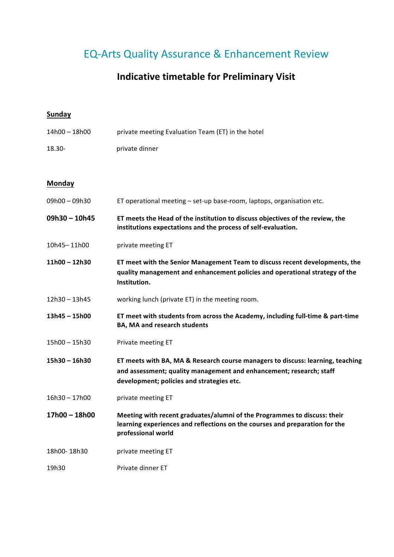# EQ-Arts Quality Assurance & Enhancement Review

## **Indicative timetable for Preliminary Visit**

### **Sunday**

| 14h00 - 18h00   | private meeting Evaluation Team (ET) in the hotel                                                                                                                                                  |
|-----------------|----------------------------------------------------------------------------------------------------------------------------------------------------------------------------------------------------|
| 18.30-          | private dinner                                                                                                                                                                                     |
|                 |                                                                                                                                                                                                    |
| <b>Monday</b>   |                                                                                                                                                                                                    |
| 09h00 - 09h30   | ET operational meeting - set-up base-room, laptops, organisation etc.                                                                                                                              |
| $09h30 - 10h45$ | ET meets the Head of the institution to discuss objectives of the review, the<br>institutions expectations and the process of self-evaluation.                                                     |
| 10h45-11h00     | private meeting ET                                                                                                                                                                                 |
| $11h00 - 12h30$ | ET meet with the Senior Management Team to discuss recent developments, the<br>quality management and enhancement policies and operational strategy of the<br>Institution.                         |
| 12h30-13h45     | working lunch (private ET) in the meeting room.                                                                                                                                                    |
| 13h45 - 15h00   | ET meet with students from across the Academy, including full-time & part-time<br><b>BA, MA and research students</b>                                                                              |
| 15h00 - 15h30   | Private meeting ET                                                                                                                                                                                 |
| $15h30 - 16h30$ | ET meets with BA, MA & Research course managers to discuss: learning, teaching<br>and assessment; quality management and enhancement; research; staff<br>development; policies and strategies etc. |
| $16h30 - 17h00$ | private meeting ET                                                                                                                                                                                 |
| 17h00 - 18h00   | Meeting with recent graduates/alumni of the Programmes to discuss: their<br>learning experiences and reflections on the courses and preparation for the<br>professional world                      |
| 18h00-18h30     | private meeting ET                                                                                                                                                                                 |
| 19h30           | Private dinner ET                                                                                                                                                                                  |